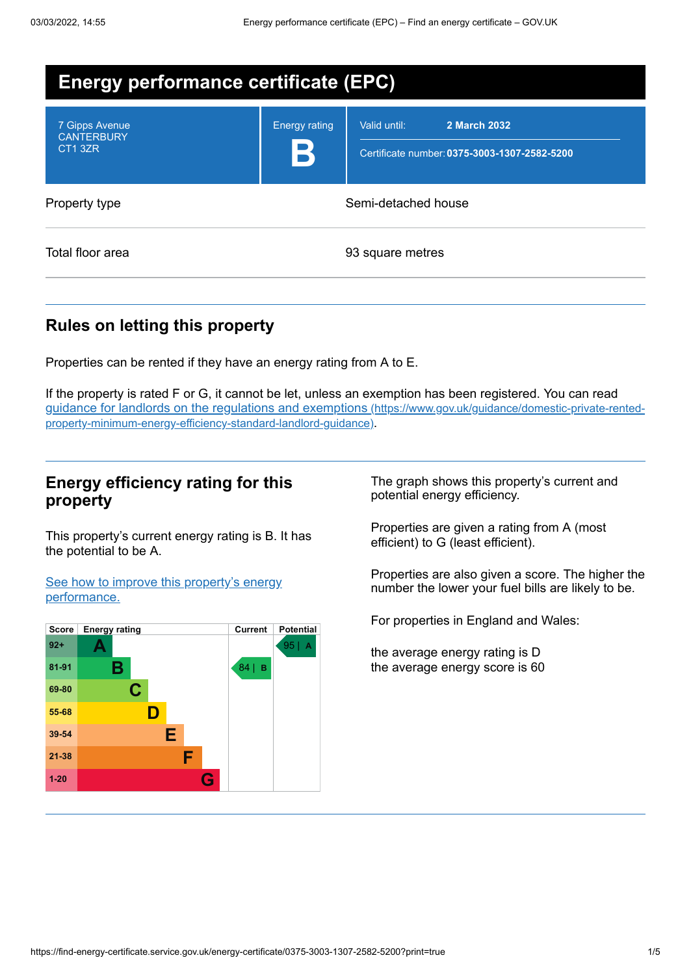| <b>Energy performance certificate (EPC)</b>    |                      |                                                                              |  |
|------------------------------------------------|----------------------|------------------------------------------------------------------------------|--|
| 7 Gipps Avenue<br><b>CANTERBURY</b><br>CT1 3ZR | <b>Energy rating</b> | Valid until:<br>2 March 2032<br>Certificate number: 0375-3003-1307-2582-5200 |  |
| Property type                                  |                      | Semi-detached house                                                          |  |
| Total floor area                               |                      | 93 square metres                                                             |  |

# **Rules on letting this property**

Properties can be rented if they have an energy rating from A to E.

If the property is rated F or G, it cannot be let, unless an exemption has been registered. You can read guidance for landlords on the regulations and exemptions (https://www.gov.uk/guidance/domestic-private-rented[property-minimum-energy-efficiency-standard-landlord-guidance\)](https://www.gov.uk/guidance/domestic-private-rented-property-minimum-energy-efficiency-standard-landlord-guidance).

## **Energy efficiency rating for this property**

This property's current energy rating is B. It has the potential to be A.

See how to improve this property's energy [performance.](#page-2-0)



The graph shows this property's current and potential energy efficiency.

Properties are given a rating from A (most efficient) to G (least efficient).

Properties are also given a score. The higher the number the lower your fuel bills are likely to be.

For properties in England and Wales:

the average energy rating is D the average energy score is 60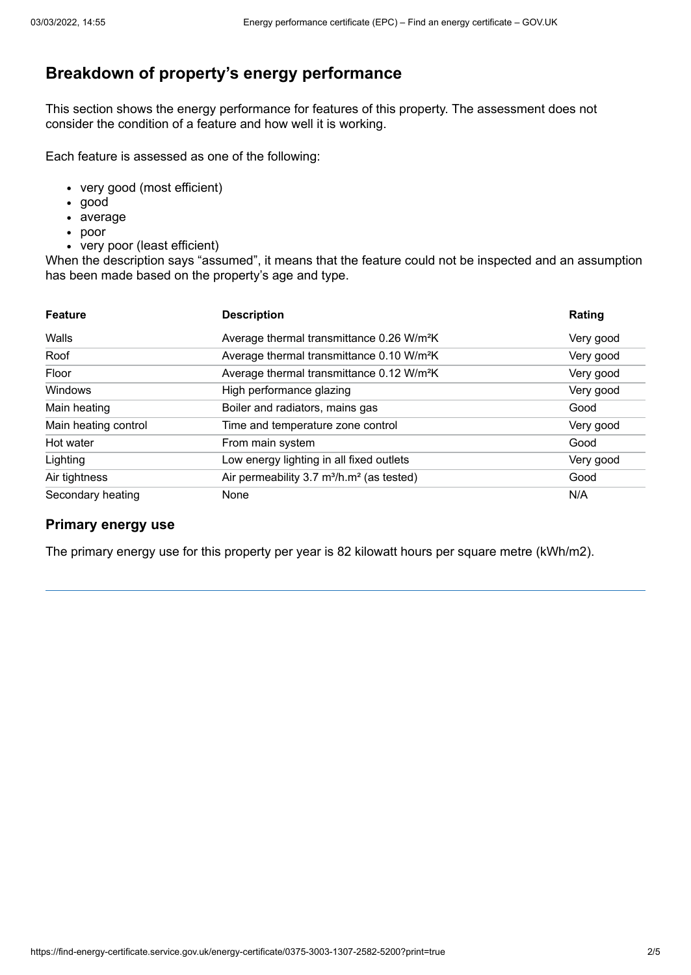# **Breakdown of property's energy performance**

This section shows the energy performance for features of this property. The assessment does not consider the condition of a feature and how well it is working.

Each feature is assessed as one of the following:

- very good (most efficient)
- good
- average
- poor
- very poor (least efficient)

When the description says "assumed", it means that the feature could not be inspected and an assumption has been made based on the property's age and type.

| <b>Feature</b>       | <b>Description</b>                                                | Rating    |
|----------------------|-------------------------------------------------------------------|-----------|
| Walls                | Average thermal transmittance 0.26 W/m <sup>2</sup> K             | Very good |
| Roof                 | Average thermal transmittance 0.10 W/m <sup>2</sup> K             | Very good |
| Floor                | Average thermal transmittance 0.12 W/m <sup>2</sup> K             | Very good |
| Windows              | High performance glazing                                          | Very good |
| Main heating         | Boiler and radiators, mains gas                                   | Good      |
| Main heating control | Time and temperature zone control                                 | Very good |
| Hot water            | From main system                                                  | Good      |
| Lighting             | Low energy lighting in all fixed outlets                          | Very good |
| Air tightness        | Air permeability 3.7 m <sup>3</sup> /h.m <sup>2</sup> (as tested) | Good      |
| Secondary heating    | None                                                              | N/A       |

### **Primary energy use**

The primary energy use for this property per year is 82 kilowatt hours per square metre (kWh/m2).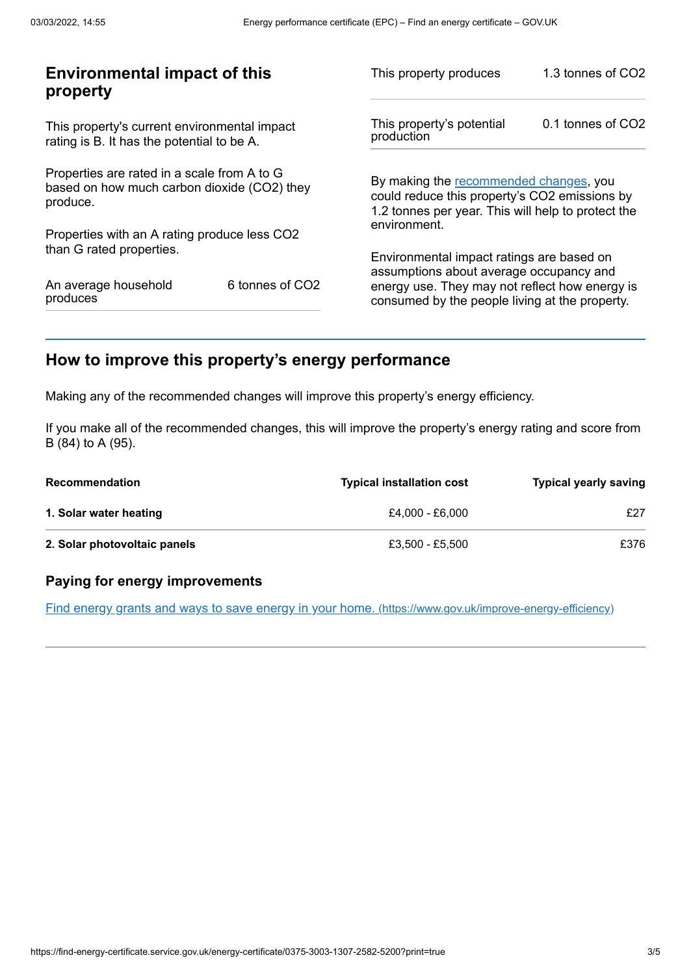| <b>Environmental impact of this</b><br>property                                                        |                 | This property produces                                                                                                                        | 1.3 tonnes of CO2 |
|--------------------------------------------------------------------------------------------------------|-----------------|-----------------------------------------------------------------------------------------------------------------------------------------------|-------------------|
| This property's current environmental impact<br>rating is B. It has the potential to be A.             |                 | This property's potential<br>production                                                                                                       | 0.1 tonnes of CO2 |
| Properties are rated in a scale from A to G<br>based on how much carbon dioxide (CO2) they<br>produce. |                 | By making the recommended changes, you<br>could reduce this property's CO2 emissions by<br>1.2 tonnes per year. This will help to protect the |                   |
| Properties with an A rating produce less CO2                                                           |                 | environment.                                                                                                                                  |                   |
| than G rated properties.                                                                               |                 | Environmental impact ratings are based on<br>assumptions about average occupancy and                                                          |                   |
| An average household<br>produces                                                                       | 6 tonnes of CO2 | energy use. They may not reflect how energy is<br>consumed by the people living at the property.                                              |                   |
|                                                                                                        |                 |                                                                                                                                               |                   |

# <span id="page-2-0"></span>**How to improve this property's energy performance**

Making any of the recommended changes will improve this property's energy efficiency.

If you make all of the recommended changes, this will improve the property's energy rating and score from B (84) to A (95).

| <b>Recommendation</b>        | <b>Typical installation cost</b> | <b>Typical yearly saving</b> |
|------------------------------|----------------------------------|------------------------------|
| 1. Solar water heating       | £4.000 - £6.000                  | £27                          |
| 2. Solar photovoltaic panels | £3.500 - £5.500                  | £376                         |

### **Paying for energy improvements**

Find energy grants and ways to save energy in your home. [\(https://www.gov.uk/improve-energy-efficiency\)](https://www.gov.uk/improve-energy-efficiency)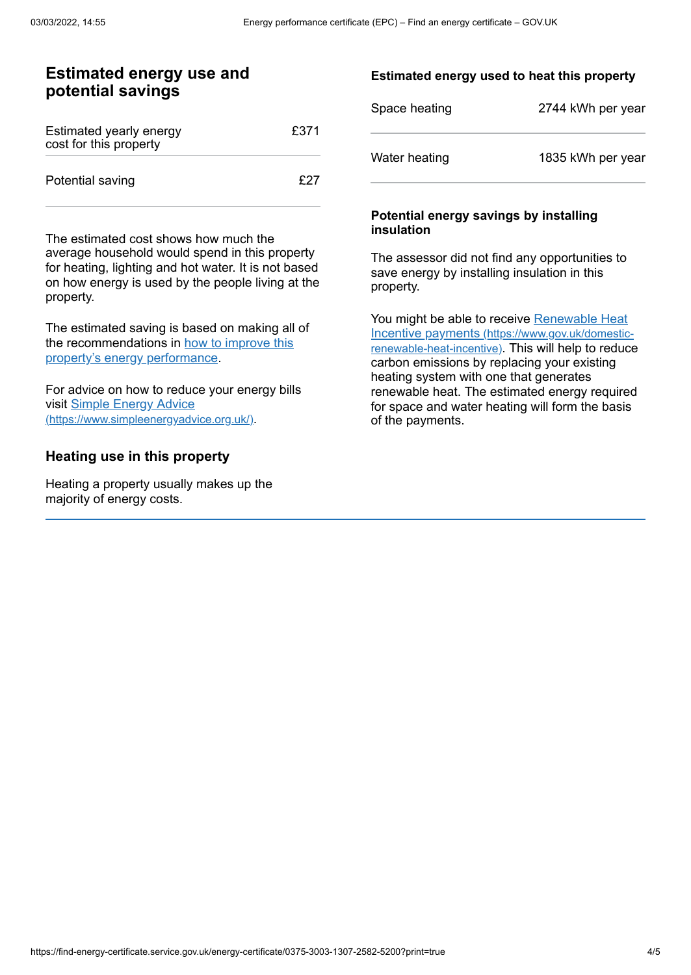## **Estimated energy use and potential savings**

| Estimated yearly energy<br>cost for this property | £371 |
|---------------------------------------------------|------|
| Potential saving                                  | f27  |

The estimated cost shows how much the average household would spend in this property for heating, lighting and hot water. It is not based on how energy is used by the people living at the property.

The estimated saving is based on making all of the [recommendations](#page-2-0) in how to improve this property's energy performance.

For advice on how to reduce your energy bills visit Simple Energy Advice [\(https://www.simpleenergyadvice.org.uk/\)](https://www.simpleenergyadvice.org.uk/).

## **Heating use in this property**

Heating a property usually makes up the majority of energy costs.

#### **Estimated energy used to heat this property**

| Space heating | 2744 kWh per year |
|---------------|-------------------|
| Water heating | 1835 kWh per year |

#### **Potential energy savings by installing insulation**

The assessor did not find any opportunities to save energy by installing insulation in this property.

You might be able to receive Renewable Heat Incentive payments [\(https://www.gov.uk/domestic](https://www.gov.uk/domestic-renewable-heat-incentive)renewable-heat-incentive). This will help to reduce carbon emissions by replacing your existing heating system with one that generates renewable heat. The estimated energy required for space and water heating will form the basis of the payments.